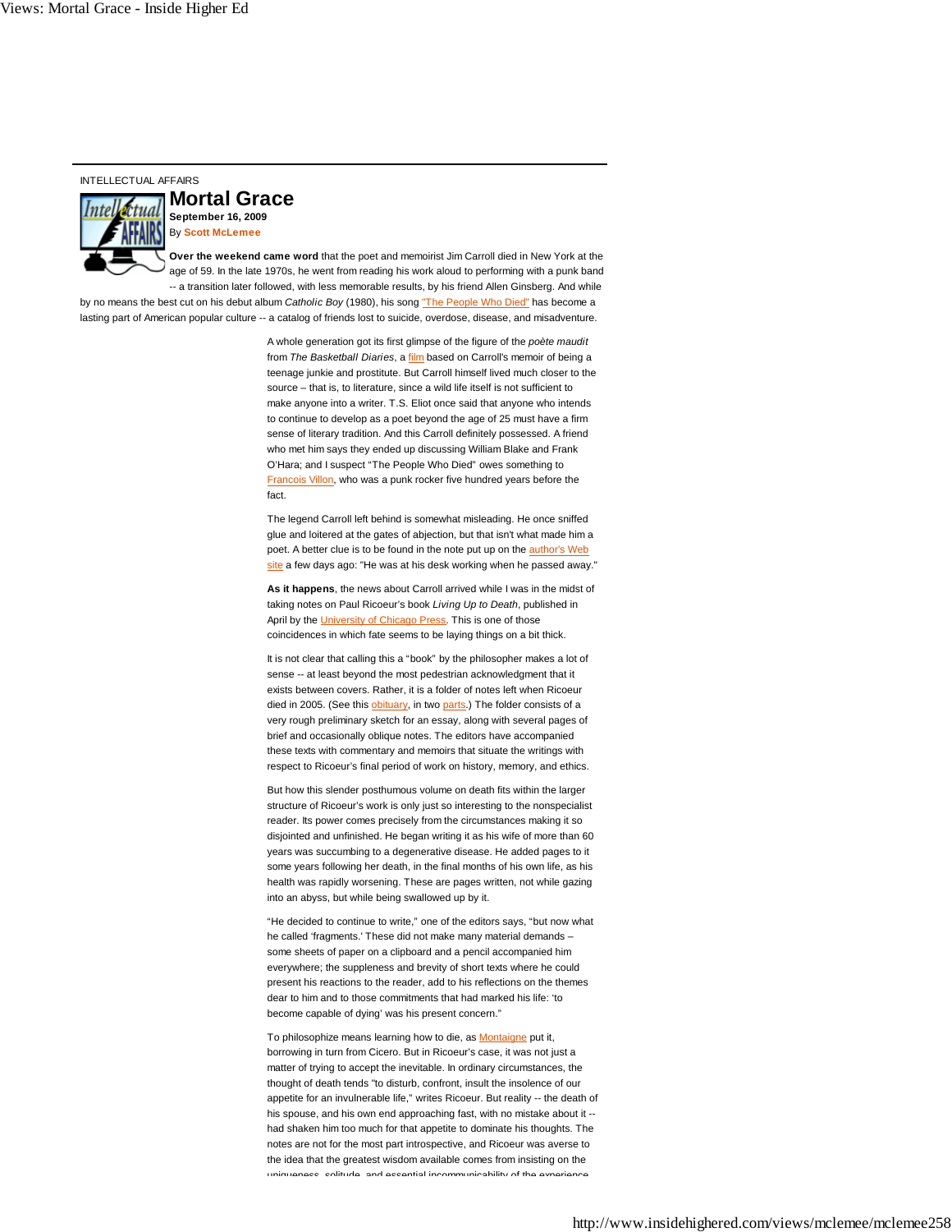## INTELLECTUAL AFFAIRS



**Mortal Grace September 16, 2009** By **Scott McLemee**

**Over the weekend came word** that the poet and memoirist Jim Carroll died in New York at the age of 59. In the late 1970s, he went from reading his work aloud to performing with a punk band -- a transition later followed, with less memorable results, by his friend Allen Ginsberg. And while by no means the best cut on his debut album *Catholic Boy* (1980), his song "The People Who Died" has become a lasting part of American popular culture -- a catalog of friends lost to suicide, overdose, disease, and misadventure.

> A whole generation got its first glimpse of the figure of the *poète maudit* from *The Basketball Diaries*, a film based on Carroll's memoir of being a teenage junkie and prostitute. But Carroll himself lived much closer to the source – that is, to literature, since a wild life itself is not sufficient to make anyone into a writer. T.S. Eliot once said that anyone who intends to continue to develop as a poet beyond the age of 25 must have a firm sense of literary tradition. And this Carroll definitely possessed. A friend who met him says they ended up discussing William Blake and Frank O'Hara; and I suspect "The People Who Died" owes something to Francois Villon, who was a punk rocker five hundred years before the fact.

> The legend Carroll left behind is somewhat misleading. He once sniffed glue and loitered at the gates of abjection, but that isn't what made him a poet. A better clue is to be found in the note put up on the author's Web site a few days ago: "He was at his desk working when he passed away."

**As it happens**, the news about Carroll arrived while I was in the midst of taking notes on Paul Ricoeur's book *Living Up to Death*, published in April by the University of Chicago Press. This is one of those coincidences in which fate seems to be laying things on a bit thick.

It is not clear that calling this a "book" by the philosopher makes a lot of sense -- at least beyond the most pedestrian acknowledgment that it exists between covers. Rather, it is a folder of notes left when Ricoeur died in 2005. (See this obituary, in two parts.) The folder consists of a very rough preliminary sketch for an essay, along with several pages of brief and occasionally oblique notes. The editors have accompanied these texts with commentary and memoirs that situate the writings with respect to Ricoeur's final period of work on history, memory, and ethics.

But how this slender posthumous volume on death fits within the larger structure of Ricoeur's work is only just so interesting to the nonspecialist reader. Its power comes precisely from the circumstances making it so disjointed and unfinished. He began writing it as his wife of more than 60 years was succumbing to a degenerative disease. He added pages to it some years following her death, in the final months of his own life, as his health was rapidly worsening. These are pages written, not while gazing into an abyss, but while being swallowed up by it.

"He decided to continue to write," one of the editors says, "but now what he called 'fragments.' These did not make many material demands – some sheets of paper on a clipboard and a pencil accompanied him everywhere; the suppleness and brevity of short texts where he could present his reactions to the reader, add to his reflections on the themes dear to him and to those commitments that had marked his life: 'to become capable of dying' was his present concern."

To philosophize means learning how to die, as **Montaigne** put it, borrowing in turn from Cicero. But in Ricoeur's case, it was not just a matter of trying to accept the inevitable. In ordinary circumstances, the thought of death tends "to disturb, confront, insult the insolence of our appetite for an invulnerable life," writes Ricoeur. But reality -- the death of his spouse, and his own end approaching fast, with no mistake about it -had shaken him too much for that appetite to dominate his thoughts. The notes are not for the most part introspective, and Ricoeur was averse to the idea that the greatest wisdom available comes from insisting on the uniqueness solitude and essential incommunicability of the experience